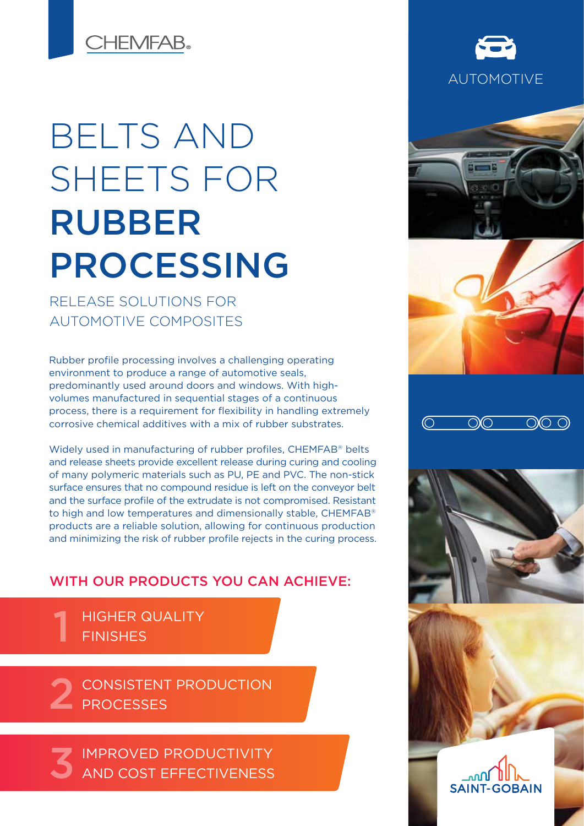**CHEMFAB.** 

# BELTS AND SHEETS FOR RUBBER PROCESSING

RELEASE SOLUTIONS FOR AUTOMOTIVE COMPOSITES

Rubber profile processing involves a challenging operating environment to produce a range of automotive seals, predominantly used around doors and windows. With highvolumes manufactured in sequential stages of a continuous process, there is a requirement for flexibility in handling extremely corrosive chemical additives with a mix of rubber substrates.

Widely used in manufacturing of rubber profiles, CHEMFAB® belts and release sheets provide excellent release during curing and cooling of many polymeric materials such as PU, PE and PVC. The non-stick surface ensures that no compound residue is left on the conveyor belt and the surface profile of the extrudate is not compromised. Resistant to high and low temperatures and dimensionally stable, CHEMFAB® products are a reliable solution, allowing for continuous production and minimizing the risk of rubber profile rejects in the curing process.

## WITH OUR PRODUCTS YOU CAN ACHIEVE:

HIGHER QUALITY **FINISHES** 1

CONSISTENT PRODUCTION 2 CONSISTENT

IMPROVED PRODUCTIVITY AND COST EFFECTIVENESS 3













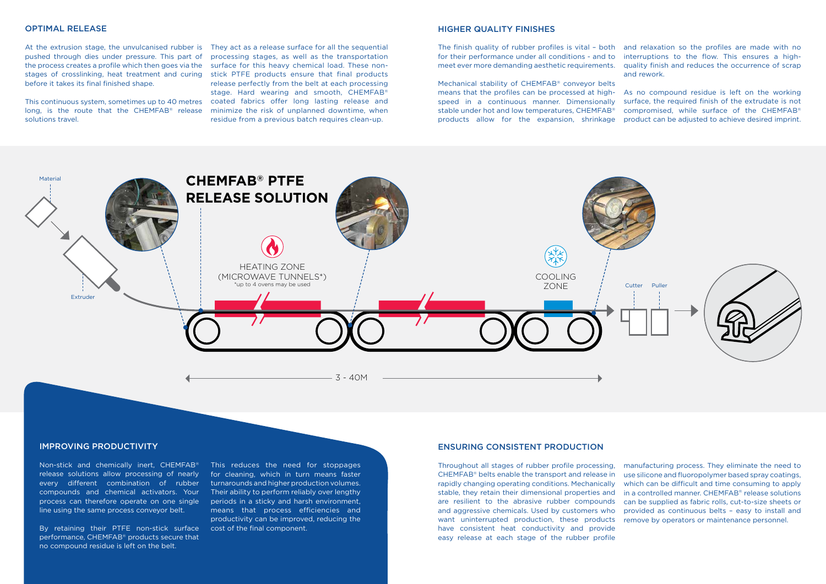## OPTIMAL RELEASE

pushed through dies under pressure. This part of the process creates a profile which then goes via the surface for this heavy chemical load. These nonstages of crosslinking, heat treatment and curing stick PTFE products ensure that final products before it takes its final finished shape.

solutions travel.

At the extrusion stage, the unvulcanised rubber is They act as a release surface for all the sequential This continuous system, sometimes up to 40 metres coated fabrics offer long lasting release and long, is the route that the CHEMFAB<sup>®</sup> release minimize the risk of unplanned downtime, when processing stages, as well as the transportation release perfectly from the belt at each processing stage. Hard wearing and smooth, CHEMFAB® residue from a previous batch requires clean-up.

### IMPROVING PRODUCTIVITY

Non-stick and chemically inert, CHEMFAB® release solutions allow processing of nearly every different combination of rubber compounds and chemical activators. Your process can therefore operate on one single line using the same process conveyor belt.

By retaining their PTFE non-stick surface performance, CHEMFAB® products secure that no compound residue is left on the belt.

manufacturing process. They eliminate the need to use silicone and fluoropolymer based spray coatings, which can be difficult and time consuming to apply in a controlled manner. CHEMFAB® release solutions can be supplied as fabric rolls, cut-to-size sheets or provided as continuous belts – easy to install and remove by operators or maintenance personnel. Throughout all stages of rubber profile processing, CHEMFAB® belts enable the transport and release in rapidly changing operating conditions. Mechanically stable, they retain their dimensional properties and are resilient to the abrasive rubber compounds and aggressive chemicals. Used by customers who want uninterrupted production, these products have consistent heat conductivity and provide easy release at each stage of the rubber profile

This reduces the need for stoppages for cleaning, which in turn means faster turnarounds and higher production volumes. Their ability to perform reliably over lengthy periods in a sticky and harsh environment, means that process efficiencies and productivity can be improved, reducing the cost of the final component.

## ENSURING CONSISTENT PRODUCTION

#### HIGHER QUALITY FINISHES

The finish quality of rubber profiles is vital – both and relaxation so the profiles are made with no for their performance under all conditions - and to meet ever more demanding aesthetic requirements. interruptions to the flow. This ensures a highquality finish and reduces the occurrence of scrap and rework.

Mechanical stability of CHEMFAB® conveyor belts means that the profiles can be processed at highspeed in a continuous manner. Dimensionally stable under hot and low temperatures, CHEMFAB® products allow for the expansion, shrinkage product can be adjusted to achieve desired imprint. As no compound residue is left on the working surface, the required finish of the extrudate is not compromised, while surface of the CHEMFAB®